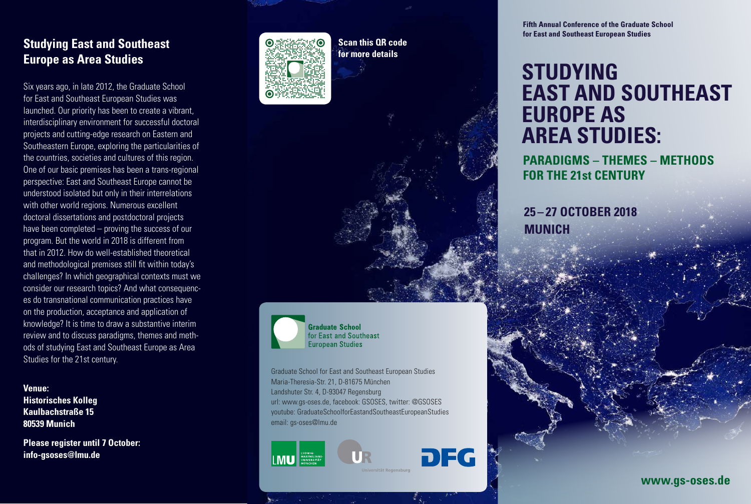## **Studying East and Southeast Europe as Area Studies**

Six years ago, in late 2012, the Graduate School for East and Southeast European Studies was launched. Our priority has been to create a vibrant, interdisciplinary environment for successful doctoral projects and cutting-edge research on Eastern and Southeastern Europe, exploring the particularities of the countries, societies and cultures of this region. One of our basic premises has been a trans-regional perspective: East and Southeast Europe cannot be understood isolated but only in their interrelations with other world regions. Numerous excellent doctoral dissertations and postdoctoral projects have been completed – proving the success of our program. But the world in 2018 is different from that in 2012. How do well-established theoretical and methodological premises still fit within today's challenges? In which geographical contexts must we consider our research topics? And what consequences do transnational communication practices have on the production, acceptance and application of knowledge? It is time to draw a substantive interim review and to discuss paradigms, themes and methods of studying East and Southeast Europe as Area Studies for the 21st century.

## **Venue:**

**Historisches Kolleg Kaulbachstraße 15 80539 Munich** 

**Please register until 7 October: [info-gsoses@lmu.de](mailto:info-gsoses%40lmu.de?subject=Fifth%20Annual%20Conference)**



**Scan this QR code for more details**

**Graduate School** for East and Southeast **European Studies** 

Graduate School for East and Southeast European Studies Maria-Theresia-Str. 21, D-81675 München Landshuter Str. 4, D-93047 Regensburg url: [www.gs-oses.de](http://www.gs-oses.de), facebook: GSOSES, twitter: @GSOSES youtube: GraduateSchoolforEastandSoutheastEuropeanStudies email: [gs-oses@lmu.de](mailto:gs-oses%40lmu.de?subject=)





**Fifth Annual Conference of the Graduate School for East and Southeast European Studies**

## **STUDYING EAST AND SOUTHEAST EUROPE AS AREA STUDIES:**

**PARADIGMS – THEMES – METHODS FOR THE 21st CENTURY**

**25 – 27 OCTOBER 2018 MUNICH**